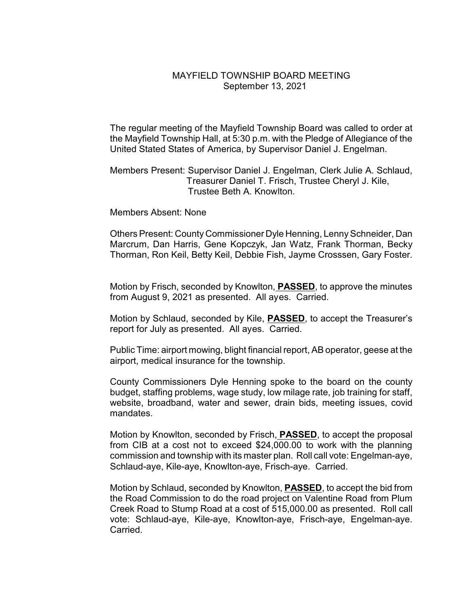## MAYFIELD TOWNSHIP BOARD MEETING September 13, 2021

The regular meeting of the Mayfield Township Board was called to order at the Mayfield Township Hall, at 5:30 p.m. with the Pledge of Allegiance of the United Stated States of America, by Supervisor Daniel J. Engelman.

Members Present: Supervisor Daniel J. Engelman, Clerk Julie A. Schlaud, Treasurer Daniel T. Frisch, Trustee Cheryl J. Kile, Trustee Beth A. Knowlton.

Members Absent: None

Others Present: County Commissioner Dyle Henning, Lenny Schneider, Dan Marcrum, Dan Harris, Gene Kopczyk, Jan Watz, Frank Thorman, Becky Thorman, Ron Keil, Betty Keil, Debbie Fish, Jayme Crosssen, Gary Foster.

Motion by Frisch, seconded by Knowlton, **PASSED**, to approve the minutes from August 9, 2021 as presented. All ayes. Carried.

Motion by Schlaud, seconded by Kile, **PASSED**, to accept the Treasurer's report for July as presented. All ayes. Carried.

Public Time: airport mowing, blight financial report, AB operator, geese at the airport, medical insurance for the township.

County Commissioners Dyle Henning spoke to the board on the county budget, staffing problems, wage study, low milage rate, job training for staff, website, broadband, water and sewer, drain bids, meeting issues, covid mandates.

Motion by Knowlton, seconded by Frisch, **PASSED**, to accept the proposal from CIB at a cost not to exceed \$24,000.00 to work with the planning commission and township with its master plan. Roll call vote: Engelman-aye, Schlaud-aye, Kile-aye, Knowlton-aye, Frisch-aye. Carried.

Motion by Schlaud, seconded by Knowlton, **PASSED**, to accept the bid from the Road Commission to do the road project on Valentine Road from Plum Creek Road to Stump Road at a cost of 515,000.00 as presented. Roll call vote: Schlaud-aye, Kile-aye, Knowlton-aye, Frisch-aye, Engelman-aye. Carried.